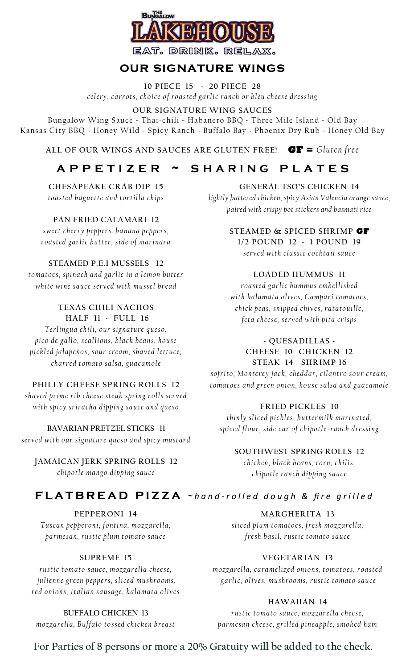

# **our signature wings**

**10 PIECE 15 ~ 20 PIECE 28**  *cel ery , ca rr ot s , ch oi ce o f r oa st ed ga rli c ra n ch o r b l eu ch e es e dr es sin g*

#### **OUR SIGNATURE WING SAUCES**

Bungalow Wing Sauce **~** Thai-chili **~** Habanero BBQ **~** Three Mile Island **~** Old Bay Kansas City BBQ **~** Honey Wild **~** Spicy Ranch **~** Buffalo Bay **~** Phoenix Dry Rub **~** Honey Old Bay

**ALL OF OUR WINGS AND SAUCES ARE GLUTEN FREE! GF =** *Gluten free*

# **a p p e t i z e r ~ s H A R I N G p l a t e s**

**CHESAPEAKE CRAB DIP 15** *t oa st ed b a gu et t e a n d t o rt illa ch ip s*

**PAN FRIED CALAMARI 12**

*sw eet ch er ry pe pp er s . b a n a n a pe p pe rs ,*  roa sted garlic butter, side of marinara

**STEAMED P.E.I MUSSELS 12**

*tomatoes, spinach and garlic in a lemon butter* white wine sauce served with mussel bread

**TEXAS CHILI NACHOS HALF 11** ~ **FULL 16** *Te rlin g ua ch il i, ou r s ig n a t ure q u es o ,*  pico de gallo, scallions, black beans, house pickled jalapeños, sour cream, shaved lettuce,

# **PHILLY CHEESE SPRING ROLLS 12**

*ch a rr ed t oma t o sa l sa , g ua ca m ol e* 

*sh a ved pr im e r ib ch e es e st ea k sp rin g r oll s se rv e d*  with spicy sriracha dipping sauce and queso

**BAVARIAN PRETZEL STICKS 11** served with our signature queso and spicy mustard

**JAMAICAN JERK SPRING ROLLS 12** *c h i p ot l e ma n g o d i pp in g s a u ce*

**GENERAL TSO'S CHICKEN 14** *lightly battered chicken, spicy Asian Valencia orange sauce, paired with crispy pot stickers and basmati rice*

> **STEAMED & SPICED SHRIMP GF 1/2 POUND 12 ~ 1 POUND 19** *se rve d w it h cla s si c c o ck t a il sa uc e*

### **LOADED HUMMUS 11**

*roa st e d ga rl ic h u m mu s emb ell ish ed*  with kalamata olives, Campari tomatoes, *ch ic k p ea s , sn i p ped c h iv es , ra t a t o ui lle , feta cheese, served with pita crisps* 

#### **~ QUESADILLAS ~ CHEESE 10****CHICKEN 12 STEAK 14 SHRIMP 16**

*sof rit o , M on t e re y ja c k , ch ed da r , cila n t r o s ou r c rea m,*  tomatoes and green onion, house salsa and guacamole

### **FRIED PICKLES 10**

*t h in ly sl ic ed p ic kl es , b u t t er mil k ma rin a t ed ,*  spiced flour, side car of chipotle-ranch dressing

### **SOUTHWEST SPRING ROLLS 12**

*c h i ck en , b la c k b ea n s , c or n , ch ili s , c h i p ot l e ra n ch d ip p in g sa uc e*

# **FLATBREAD PIZZA** ~hand-rolled dough & fire grilled

**PEPPERONI 14** *Tu sca n p ep pe r on i , f on t i n a , m ozza re lla , pa r me sa n , ru st ic plu m t o ma t o sa uc e*

### **SUPREME 15**

*r u st ic t o ma t o sa u ce , m oz za r el la ch ee se , j u li en n e g re en pe p pe rs , s l ic ed mu sh r o om s , r e d on i on s , It a l ia n sa usa ge , ka la ma t a ol iv es*

**BUFFALO CHICKEN 13**

*m ozza rel la , B uf f a l o t o s sed ch ic ken b rea st*

**MARGHERITA 13** *sli ced plu m t oma t oe s , f r esh m o zza r ella , f re sh b a sil , r ust ic t oma t o sa u ce*

### **VEGETARIAN 13**

*m ozza rel la , ca ra m eli ze d on i on s, t o ma t o es , r oa st ed ga rli c, ol ive s, mu sh r o o ms , r ust ic t o ma t o sa u ce*

### **HAWAIIAN 14**

*rustic tomato sauce, mozzarella cheese, p a r m esa n ch e e se , g r ill ed p in ea pp le , s m o ke d h a m*

**For Parties of 8 persons or more a 20% Gratuity will be added to the check.**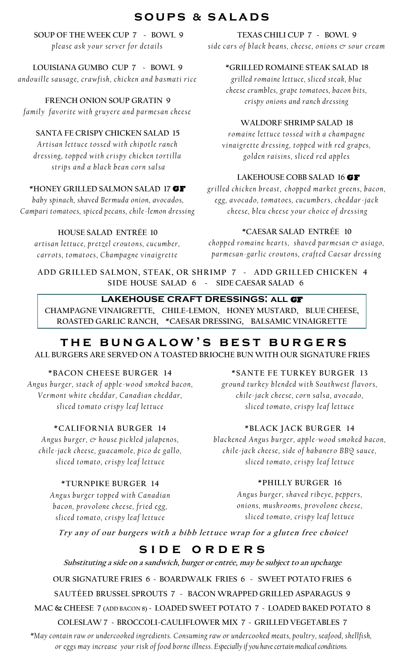# **s o u p s & s a l a d s**

**SOUP OF THE WEEK CUP 7 ~ BOWL 9** *please ask your server for details* 

**LOUISIANA GUMBO CUP 7 ~ BOWL 9** *a n do uil le sa usa g e , cra w f ish , ch i ck en a n d b a sma t i ri ce*

**FRENCH ONION SOUP GRATIN 9** *family favorite with gruyere and parmesan cheese* 

### **SANTA FE CRISPY CHICKEN SALAD 15**

*A rt i sa n let t uc e t os s ed w i t h ch ip ot le ra n ch dressing, topped with crispy chicken tortilla st r ip s a n d a b la ck b ea n c o rn sa l sa*

### **\*HONEY GRILLED SALMON SALAD 17 GF**

*baby spinach, shaved Bermuda onion, avocados, Campari tomatoes, spiced pecans, chile-lemon dressing*

### **HOUSE SALAD ENTRÉE 10**

*a rt isa n l et t uc e , pr et z el cr out on s, c uc umb er , carrots, tomatoes, Champagne vinaigrette* 

**TEXAS CHILI CUP 7 ~ BOWL 9** side cars of black beans, cheese, onions  $c$  sour cream

#### **\*GRILLED ROMAINE STEAK SALAD 18**

*grilled romaine lettuce, sliced steak, blue cheese crumbles, grape tomatoes, bacon bits, crispy onions and ranch dressing*

### **WALDORF SHRIMP SALAD 18**

*romaine lettuce tossed with a champagne* vinaigrette dressing, topped with red grapes, *g o ld en ra i sin s , sl i ce d r ed a p pl es*

### **LAKEHOUSE COBB SALAD 16 GF**

*gr ill ed ch i ck en b r ea st , c h op p ed ma rk et gr een s , b a con , eg g, a v oca d o , t o ma t oe s, cuc um b e rs , ch e dda r-ja c k cheese, bleu cheese your choice of dressing* 

#### **\*CAESAR SALAD ENTRÉE 10**

*ch o pp ed r o ma in e h ea rt s , sh a ve d pa r m esa n & a si a go , pa r me sa n-ga r lic c r out o n s, c ra f t ed Ca e sa r d re ss in g*

**ADD GRILLED SALMON, STEAK, OR SHRIMP 7 ~ ADD GRILLED CHICKEN 4 SIDE HOUSE SALAD 6 ~ SIDE CAESAR SALAD 6**

### **lakehouse craft dressings: all GF**

**CHAMPAGNE VINAIGRETTE, CHILE-LEMON, HONEY MUSTARD, BLUE CHEESE, ROASTED GARLIC RANCH, \*CAESAR DRESSING, BALSAMIC VINAIGRETTE**

# **t h e b u n g a l o w ' s b e s t b u r g e r s**

**ALL BURGERS ARE SERVED ON A TOASTED BRIOCHE BUN WITH OUR SIGNATURE FRIES**

**\*BACON CHEESE BURGER 14**  *An g us b u rg er , st a c k of a ppl e-w o od sm o ke d b a c on , Ve r mon t wh it e ch e dda r , Ca n a d ia n ch e dda r , sli ced t o ma t o c ri sp y lea f let t uc e*

### **\*CALIFORNIA BURGER 14**

*Angus burger,*  $\circledcirc$  *house pickled jalapenos, chile-jack cheese, guacamole, pico de gallo, sli ced t o ma t o , cr is py l e a f let t uc e* 

### **\*TURNPIKE BURGER 14**

*A n g u s b u rg e r t o p pe d wit h Ca n a d ia n b a co n , pr o v ol on e ch e e se, f r i ed e g g, s l ic ed t o ma t o, cr is p y lea f l et t u c e* 

**\*SANTE FE TURKEY BURGER 13**

*gr oun d t ur ke y b len ded wit h So ut h we st f la vo rs , ch il e-ja c k ch ee se , c orn s a lsa , a v oca d o ,*  sliced tomato, crispy leaf lettuce

# **\*BLACK JACK BURGER 14**

*b la cken ed An g us b u rg er , a pp le-w oo d s mo k ed b a con , chile-jack cheese, side of habanero BBQ sauce, sli ced t o ma t o , cr is py l e a f let t uc e*

# **\*PHILLY BURGER 16**

Angus burger, shaved ribeye, peppers, *o n i on s , mu sh r o om s , p r ov ol o n e ch e es e , s l ic ed t o ma t o, cr is p y lea f l et t u c e*

**Try any of our burgers with a bibb lettuce wrap for a gluten free choice!**

# SIDE ORDERS

**Substituting a side on a sandwich, burger or entrée, may be subject to an upcharge**

**OUR SIGNATURE FRIES 6 ~ BOARDWALK FRIES 6 ~ SWEET POTATO FRIES 6**

**SAUTÉED BRUSSEL SPROUTS 7 ~ BACON WRAPPED GRILLED ASPARAGUS 9**

**MAC & CHEESE 7 (ADD BACON 8) ~ LOADED SWEET POTATO 7 ~ LOADED BAKED POTATO 8**

### **COLESLAW 7 ~ BROCCOLI-CAULIFLOWER MIX 7 ~ GRILLED VEGETABLES 7**

*\*May contain raw or undercooked ingredients. Consuming raw or undercooked meats, poultry, seafood, shellfish, or eggs may increase your risk of food borne illness. Especially if you have certain medical conditions.*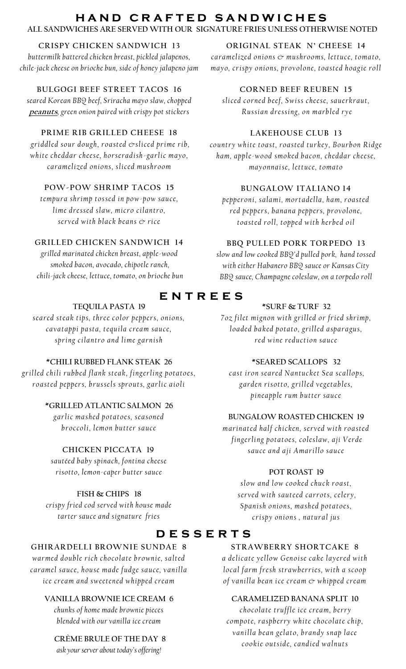# **h a n d c r a f t e d s a n d w i c h e s**

**ALL SANDWICHES ARE SERVED WITH OUR SIGNATURE FRIES UNLESS OTHERWISE NOTED**

### **CRISPY CHICKEN SANDWICH 13**

*buttermilk battered chicken breast, pickled jalapenos, chile-jack cheese on brioche bun, side of honey jalapeno jam*

# **BULGOGI BEEF STREET TACOS 16**

*seared Korean BBQ beef, Sriracha mayo slaw, chopped*  **peanuts***, green onion paired with crispy pot stickers*

### **PRIME RIB GRILLED CHEESE 18**

*gri ddl ed s o ur d o ugh , r o a st ed & sli ce d pr i me r ib , wh it e ch e dda r c h e es e, h or se ra d ish -ga rl ic ma yo , ca ra m el ize d on i on s , sl ic ed m ush r o om*

### **POW-POW SHRIMP TACOS 15**

*tempura shrimp tossed in pow-pow sauce, lime dressed slaw, micro cilantro, se rve d w it h b la ck b ea n s & ric e*

# **GRILLED CHICKEN SANDWICH 14**

*grilled marinated chicken breast, apple-wood smoked bacon, avocado, chipotle ranch, chili-jack cheese, lettuce, tomato, on brioche bun*

# **TEQUILA PASTA 19**

*s ea re d st ea k t i ps , t h re e c o l or pe p pe r s, on i on s, cavatappi pasta, tequila cream sauce, s p r in g cila n t r o a n d l i m e ga rn ish*

# **\*CHILI RUBBED FLANK STEAK 26**

*g r il le d ch il i r ub b e d f la n k st ea k , f in g e rl in g p ot a t o e s , r o a st ed pe p pe r s, b r us se ls s pr o ut s, ga r li c a i ol i*

### **\*GRILLED ATLANTIC SALMON 26**

*g a r li c ma sh ed p ot a t o e s, s ea s on e d b r oc co li , l e m on b ut t e r sa uc e*

# **CHICKEN PICCATA 19**

*sautéed baby spinach, fontina cheese risotto, lemon-caper butter sauce* 

# **FISH & CHIPS 18**

*crispy fried cod served with house made tarter sauce and signature fries*

# **GHIRARDELLI BROWNIE SUNDAE 8**

*war med double rich chocolate brownie*, salted *ca ra m el sa uce , h ou se m a de f ud ge sa uc e, va n illa ice cream and sweetened whipped cream* 

# **VANILLA BROWNIE ICE CREAM 6**

*chunks of home made brownie pieces blended with our vanilla ice cream*

# **CRÈME BRULE OF THE DAY 8**

*ask your server about today's offering!*

# **ORIGINAL STEAK N' CHEESE 14**

*caramelized onions*  $\circledcirc$  *mushrooms, lettuce, tomato, ma y o, c r is py o n i on s , p r ov ol on e , t oa st e d h oa g ie ro ll* 

### **CORNED BEEF REUBEN 15**

*sli ced c o rn e d b eef , S w is s ch e es e, sa ue rk ra ut , R us sia n dr e ss in g , on m a rb led ry e* 

### **LAKEHOUSE CLUB 13**

*co un t r y wh it e t oa st , ro a st ed t u rk ey , B o urb on Rid ge h a m, a p pl e-w o od sm o ke d b a c on , ch e dda r ch ee se , ma y on n a i se , let t uc e, t o ma t o*

### **BUNGALOW ITALIANO 14**

*pe pp er on i , sa la m i , m ort a della , h a m , r oa st e d* red peppers, banana peppers, provolone, *t oa st ed r oll , t o p pe d w it h h e rb e d o il*

### **BBQ PULLED PORK TORPEDO 13**

*slow and low cooked BBQ'd pulled pork, hand tossed with either Habanero BBQ sauce or Kansas City BBQ sauce, Champagne coleslaw, on a torpedo roll*

# **e n t r e e s**

### **\*SURF & TURF 32**

*7 o z f i let mi gn on wi t h g ri ll ed o r f r ie d sh r i mp , l oa de d b a k ed p ot a t o, gri ll ed a spa ra gu s , r e d w in e r ed uct i on sa uce*

### **\*SEARED SCALLOPS 32**

*cast iron seared Nantucket Sea scallops, g a r den ri s ot t o , g ri ll ed ve g et a b l es , pineapple rum butter sauce* 

#### **BUNGALOW ROASTED CHICKEN 19**

*m a r in a t ed h a l f ch i c ken , s e rv ed w it h r oa st e d f in g e rli n g p ot a t oe s , c ole s la w , a ji V er de s a u ce a n d a j i A ma ri ll o s a u ce*

### **POT ROAST 19**

*s l o w a n d l o w c o o ke d ch u c k r oa st ,* served with sauteed carrots, celery, *S pa n i sh o n i on s , ma sh ed p o t a t oe s , c r is p y on i on s , n a t ura l ju s*

# **d e s s e r t s**

### **STRAWBERRY SHORTCAKE 8**

*a de lica t e yel lo w Gen o i se ca k e la ye r ed w it h local farm fresh strawberries, with a scoop of va n illa b ea n i ce c rea m & wh ip p ed cr ea m*

#### **CARAMELIZED BANANA SPLIT 10**

*chocolate truffle ice cream, berry compote, raspberry white chocolate chip, va n il la b ea n g ela t o , b ra n dy s n a p la ce c o o k ie ou t s id e , ca n d i ed w a ln ut s*